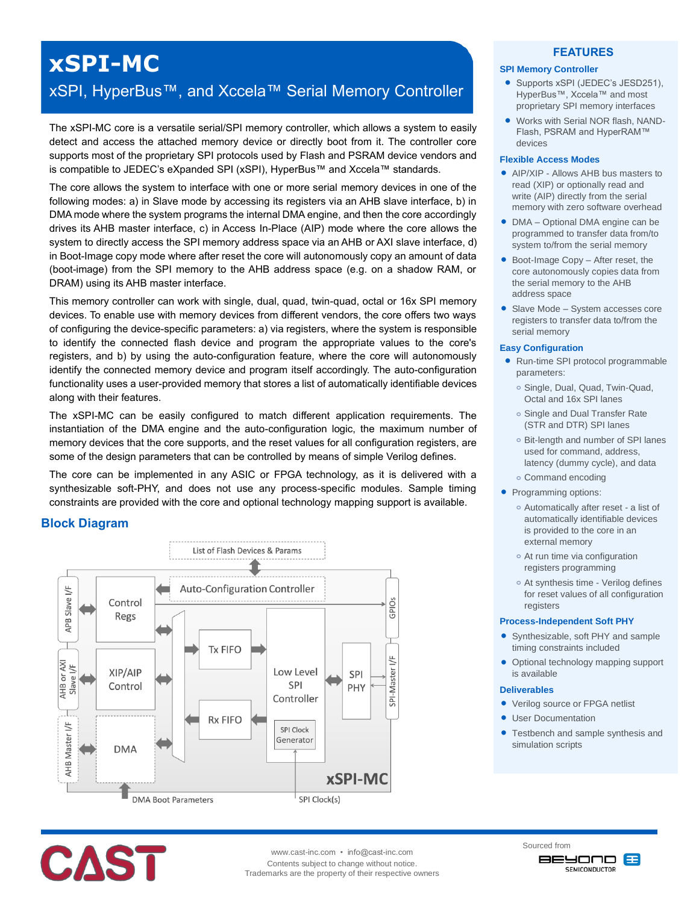## **xSPI-MC**

### xSPI, HyperBus™, and Xccela™ Serial Memory Controller

The xSPI-MC core is a versatile serial/SPI memory controller, which allows a system to easily detect and access the attached memory device or directly boot from it. The controller core supports most of the proprietary SPI protocols used by Flash and PSRAM device vendors and is compatible to JEDEC's eXpanded SPI (xSPI), HyperBus™ and Xccela™ standards.

The core allows the system to interface with one or more serial memory devices in one of the following modes: a) in Slave mode by accessing its registers via an AHB slave interface, b) in DMA mode where the system programs the internal DMA engine, and then the core accordingly drives its AHB master interface, c) in Access In-Place (AIP) mode where the core allows the system to directly access the SPI memory address space via an AHB or AXI slave interface, d) in Boot-Image copy mode where after reset the core will autonomously copy an amount of data (boot-image) from the SPI memory to the AHB address space (e.g. on a shadow RAM, or DRAM) using its AHB master interface.

This memory controller can work with single, dual, quad, twin-quad, octal or 16x SPI memory devices. To enable use with memory devices from different vendors, the core offers two ways of configuring the device-specific parameters: a) via registers, where the system is responsible to identify the connected flash device and program the appropriate values to the core's registers, and b) by using the auto-configuration feature, where the core will autonomously identify the connected memory device and program itself accordingly. The auto-configuration functionality uses a user-provided memory that stores a list of automatically identifiable devices along with their features.

The xSPI-MC can be easily configured to match different application requirements. The instantiation of the DMA engine and the auto-configuration logic, the maximum number of memory devices that the core supports, and the reset values for all configuration registers, are some of the design parameters that can be controlled by means of simple Verilog defines.

The core can be implemented in any ASIC or FPGA technology, as it is delivered with a synthesizable soft-PHY, and does not use any process-specific modules. Sample timing constraints are provided with the core and optional technology mapping support is available.

#### **Block Diagram**



# **CAST**

www.cast-inc.com • info@cast-inc.com Contents subject to change without notice. Trademarks are the property of their respective owners

#### **FEATURES**

#### **SPI Memory Controller**

- Supports xSPI (JEDEC's JESD251), HyperBus™, Xccela™ and most proprietary SPI memory interfaces
- Works with Serial NOR flash, NAND-Flash, PSRAM and HyperRAM™ devices

#### **Flexible Access Modes**

- **AIP/XIP Allows AHR bus masters to** read (XIP) or optionally read and write (AIP) directly from the serial memory with zero software overhead
- DMA Optional DMA engine can be programmed to transfer data from/to system to/from the serial memory
- Boot-Image Copy After reset, the core autonomously copies data from the serial memory to the AHB address space
- Slave Mode System accesses core registers to transfer data to/from the serial memory

#### **Easy Configuration**

- Run-time SPI protocol programmable parameters:
	- **o** Single, Dual, Quad, Twin-Quad, Octal and 16x SPI lanes
	- **o** Single and Dual Transfer Rate (STR and DTR) SPI lanes
	- **o** Bit-length and number of SPI lanes used for command, address, latency (dummy cycle), and data
	- **o** Command encoding
- Programming options:
	- **o** Automatically after reset a list of automatically identifiable devices is provided to the core in an external memory
	- **o** At run time via configuration registers programming
	- **o** At synthesis time Verilog defines for reset values of all configuration registers

#### **Process-Independent Soft PHY**

- Synthesizable, soft PHY and sample timing constraints included
- Optional technology mapping support is available

#### **Deliverables**

- Verilog source or FPGA netlist
- User Documentation
- Testbench and sample synthesis and simulation scripts

Sourced from onovee æ **SEMICONDUCTOR**